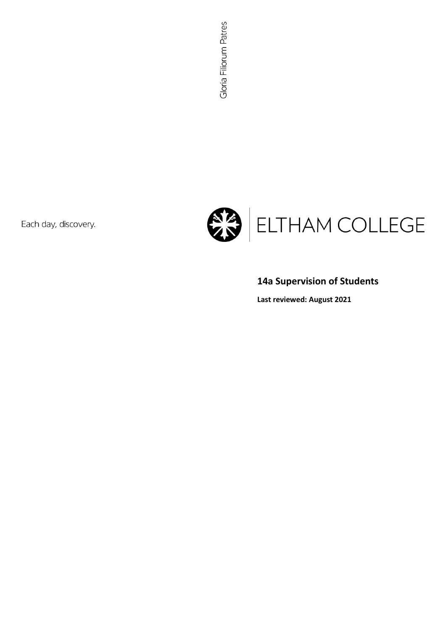Each day, discovery.



# **14a Supervision of Students**

**Last reviewed: August 2021**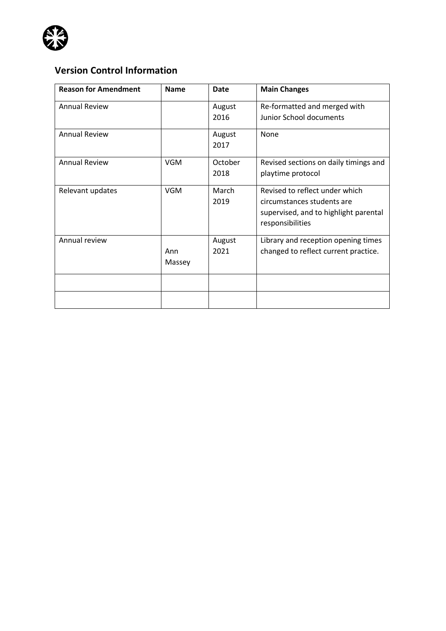

# **Version Control Information**

| <b>Reason for Amendment</b> | <b>Name</b> | Date    | <b>Main Changes</b>                                                 |
|-----------------------------|-------------|---------|---------------------------------------------------------------------|
| <b>Annual Review</b>        |             | August  | Re-formatted and merged with                                        |
|                             |             | 2016    | Junior School documents                                             |
| <b>Annual Review</b>        |             | August  | None                                                                |
|                             |             | 2017    |                                                                     |
| <b>Annual Review</b>        | <b>VGM</b>  | October | Revised sections on daily timings and                               |
|                             |             | 2018    | playtime protocol                                                   |
| Relevant updates            | <b>VGM</b>  | March   | Revised to reflect under which                                      |
|                             |             | 2019    | circumstances students are<br>supervised, and to highlight parental |
|                             |             |         | responsibilities                                                    |
| Annual review               |             | August  | Library and reception opening times                                 |
|                             | Ann         | 2021    | changed to reflect current practice.                                |
|                             | Massey      |         |                                                                     |
|                             |             |         |                                                                     |
|                             |             |         |                                                                     |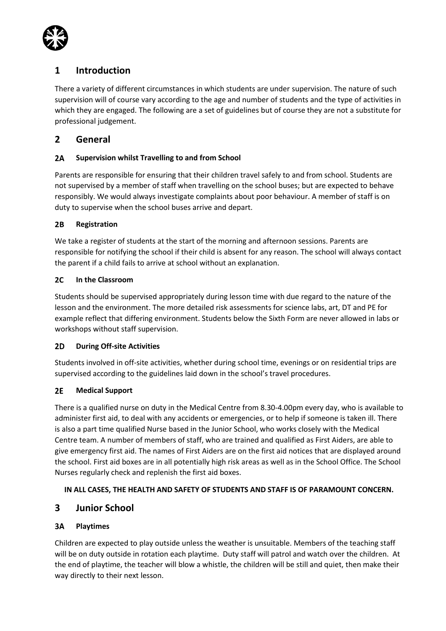

# **1 Introduction**

There a variety of different circumstances in which students are under supervision. The nature of such supervision will of course vary according to the age and number of students and the type of activities in which they are engaged. The following are a set of guidelines but of course they are not a substitute for professional judgement.

# **2 General**

### $2A$ **Supervision whilst Travelling to and from School**

Parents are responsible for ensuring that their children travel safely to and from school. Students are not supervised by a member of staff when travelling on the school buses; but are expected to behave responsibly. We would always investigate complaints about poor behaviour. A member of staff is on duty to supervise when the school buses arrive and depart.

### $2B$ **Registration**

We take a register of students at the start of the morning and afternoon sessions. Parents are responsible for notifying the school if their child is absent for any reason. The school will always contact the parent if a child fails to arrive at school without an explanation.

### $2C$ **In the Classroom**

Students should be supervised appropriately during lesson time with due regard to the nature of the lesson and the environment. The more detailed risk assessments for science labs, art, DT and PE for example reflect that differing environment. Students below the Sixth Form are never allowed in labs or workshops without staff supervision.

### $2D$ **During Off-site Activities**

Students involved in off-site activities, whether during school time, evenings or on residential trips are supervised according to the guidelines laid down in the school's travel procedures.

### $2E$ **Medical Support**

There is a qualified nurse on duty in the Medical Centre from 8.30-4.00pm every day, who is available to administer first aid, to deal with any accidents or emergencies, or to help if someone is taken ill. There is also a part time qualified Nurse based in the Junior School, who works closely with the Medical Centre team. A number of members of staff, who are trained and qualified as First Aiders, are able to give emergency first aid. The names of First Aiders are on the first aid notices that are displayed around the school. First aid boxes are in all potentially high risk areas as well as in the School Office. The School Nurses regularly check and replenish the first aid boxes.

### **IN ALL CASES, THE HEALTH AND SAFETY OF STUDENTS AND STAFF IS OF PARAMOUNT CONCERN.**

# **3 Junior School**

### $3A$ **Playtimes**

Children are expected to play outside unless the weather is unsuitable. Members of the teaching staff will be on duty outside in rotation each playtime. Duty staff will patrol and watch over the children. At the end of playtime, the teacher will blow a whistle, the children will be still and quiet, then make their way directly to their next lesson.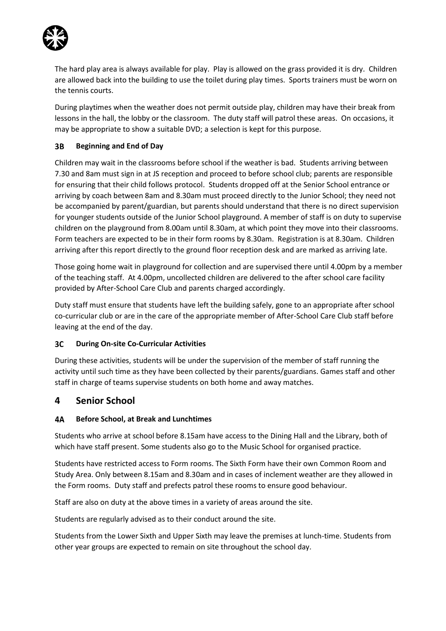

The hard play area is always available for play. Play is allowed on the grass provided it is dry. Children are allowed back into the building to use the toilet during play times. Sports trainers must be worn on the tennis courts.

During playtimes when the weather does not permit outside play, children may have their break from lessons in the hall, the lobby or the classroom. The duty staff will patrol these areas. On occasions, it may be appropriate to show a suitable DVD; a selection is kept for this purpose.

### $3B$ **Beginning and End of Day**

Children may wait in the classrooms before school if the weather is bad. Students arriving between 7.30 and 8am must sign in at JS reception and proceed to before school club; parents are responsible for ensuring that their child follows protocol. Students dropped off at the Senior School entrance or arriving by coach between 8am and 8.30am must proceed directly to the Junior School; they need not be accompanied by parent/guardian, but parents should understand that there is no direct supervision for younger students outside of the Junior School playground. A member of staff is on duty to supervise children on the playground from 8.00am until 8.30am, at which point they move into their classrooms. Form teachers are expected to be in their form rooms by 8.30am. Registration is at 8.30am. Children arriving after this report directly to the ground floor reception desk and are marked as arriving late.

Those going home wait in playground for collection and are supervised there until 4.00pm by a member of the teaching staff. At 4.00pm, uncollected children are delivered to the after school care facility provided by After-School Care Club and parents charged accordingly.

Duty staff must ensure that students have left the building safely, gone to an appropriate after school co-curricular club or are in the care of the appropriate member of After-School Care Club staff before leaving at the end of the day.

### $3C$ **During On-site Co-Curricular Activities**

During these activities, students will be under the supervision of the member of staff running the activity until such time as they have been collected by their parents/guardians. Games staff and other staff in charge of teams supervise students on both home and away matches.

# **4 Senior School**

### 4А **Before School, at Break and Lunchtimes**

Students who arrive at school before 8.15am have access to the Dining Hall and the Library, both of which have staff present. Some students also go to the Music School for organised practice.

Students have restricted access to Form rooms. The Sixth Form have their own Common Room and Study Area. Only between 8.15am and 8.30am and in cases of inclement weather are they allowed in the Form rooms. Duty staff and prefects patrol these rooms to ensure good behaviour.

Staff are also on duty at the above times in a variety of areas around the site.

Students are regularly advised as to their conduct around the site.

Students from the Lower Sixth and Upper Sixth may leave the premises at lunch-time. Students from other year groups are expected to remain on site throughout the school day.